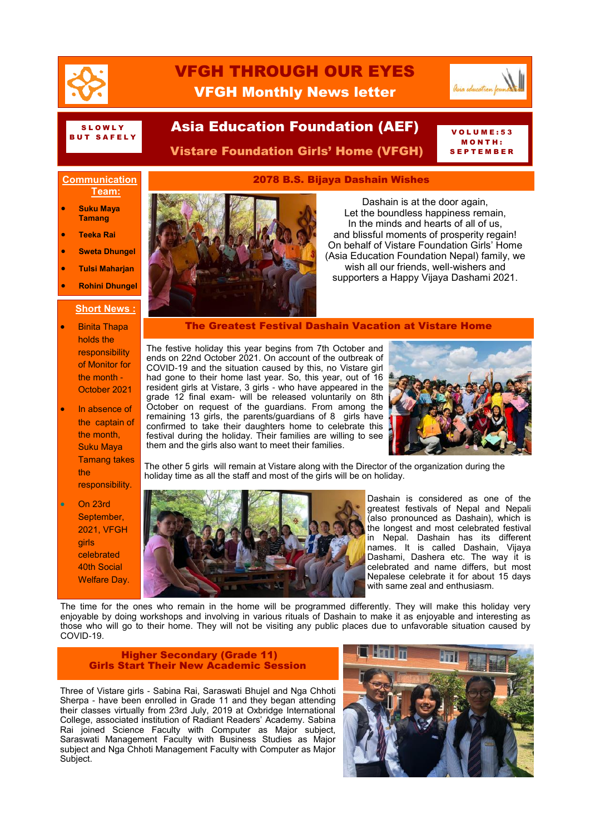

## VFGH THROUGH OUR EYES VFGH Monthly News letter



# SLOWLY<br>But Safely

# SLOWLY **ASIA Education Foundation (AEF)** VOLUME:53

Vistare Foundation Girls' Home (VFGH)

## M O N T H : **TEMBER**

## **Communication Team:**

- **Suku Maya Tamang**
- **Teeka Rai**
- **Sweta Dhungel**
- **Tulsi Maharjan**
- **Rohini Dhungel**

## **Short News :**

- **•** Binita Thapa holds the responsibility of Monitor for the month - October 2021
- In absence of the captain of the month, Suku Maya Tamang takes the responsibility.
- On 23rd September, 2021, VFGH girls celebrated 40th Social Welfare Day.



Dashain is at the door again, Let the boundless happiness remain, In the minds and hearts of all of us, and blissful moments of prosperity regain! On behalf of Vistare Foundation Girls' Home (Asia Education Foundation Nepal) family, we wish all our friends, well-wishers and supporters a Happy Vijaya Dashami 2021.

The Greatest Festival Dashain Vacation at Vistare Home

2078 B.S. Bijaya Dashain Wishes

The festive holiday this year begins from 7th October and ends on 22nd October 2021. On account of the outbreak of COVID-19 and the situation caused by this, no Vistare girl had gone to their home last year. So, this year, out of 16 resident girls at Vistare, 3 girls - who have appeared in the grade 12 final exam- will be released voluntarily on 8th October on request of the guardians. From among the remaining 13 girls, the parents/guardians of 8 girls have confirmed to take their daughters home to celebrate this festival during the holiday. Their families are willing to see them and the girls also want to meet their families.



The other 5 girls will remain at Vistare along with the Director of the organization during the holiday time as all the staff and most of the girls will be on holiday.



Dashain is considered as one of the greatest festivals of Nepal and Nepali (also pronounced as Dashain), which is the longest and most celebrated festival in Nepal. Dashain has its different names. It is called Dashain, Vijaya Dashami, Dashera etc. The way it is celebrated and name differs, but most Nepalese celebrate it for about 15 days with same zeal and enthusiasm.

The time for the ones who remain in the home will be programmed differently. They will make this holiday very enjoyable by doing workshops and involving in various rituals of Dashain to make it as enjoyable and interesting as those who will go to their home. They will not be visiting any public places due to unfavorable situation caused by COVID-19.

#### Higher Secondary (Grade 11) **Girls Start Their New Academic Session**

Three of Vistare girls - Sabina Rai, Saraswati Bhujel and Nga Chhoti Sherpa - have been enrolled in Grade 11 and they began attending their classes virtually from 23rd July, 2019 at Oxbridge International College, associated institution of Radiant Readers' Academy. Sabina Rai joined Science Faculty with Computer as Major subject, Saraswati Management Faculty with Business Studies as Major subject and Nga Chhoti Management Faculty with Computer as Major Subject.

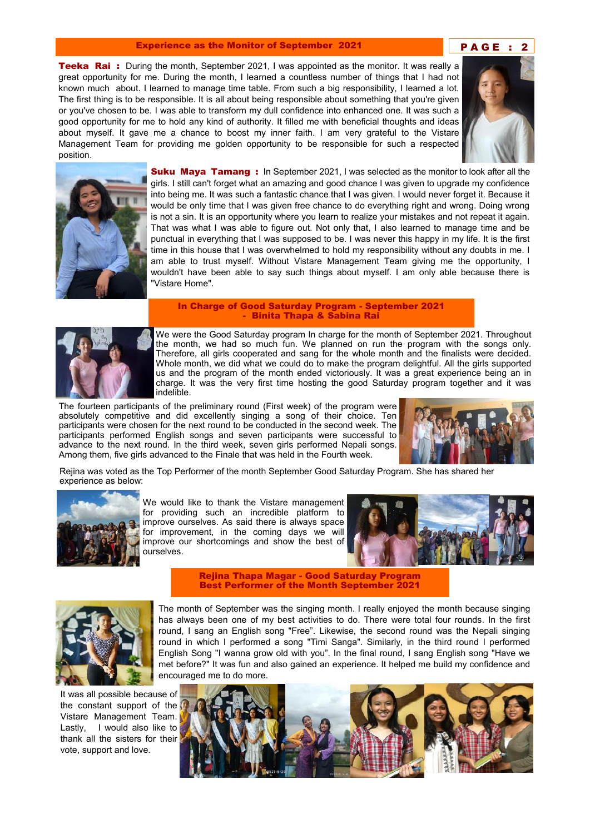#### Experience as the Monitor of September 2021 **PAGE: 2**

**Teeka Rai** : During the month, September 2021, I was appointed as the monitor. It was really a great opportunity for me. During the month, I learned a countless number of things that I had not known much about. I learned to manage time table. From such a big responsibility, I learned a lot. The first thing is to be responsible. It is all about being responsible about something that you're given or you've chosen to be. I was able to transform my dull confidence into enhanced one. It was such a good opportunity for me to hold any kind of authority. It filled me with beneficial thoughts and ideas about myself. It gave me a chance to boost my inner faith. I am very grateful to the Vistare Management Team for providing me golden opportunity to be responsible for such a respected position.





**Suku Maya Tamang:** In September 2021, I was selected as the monitor to look after all the girls. I still can't forget what an amazing and good chance I was given to upgrade my confidence into being me. It was such a fantastic chance that I was given. I would never forget it. Because it would be only time that I was given free chance to do everything right and wrong. Doing wrong is not a sin. It is an opportunity where you learn to realize your mistakes and not repeat it again. That was what I was able to figure out. Not only that, I also learned to manage time and be punctual in everything that I was supposed to be. I was never this happy in my life. It is the first time in this house that I was overwhelmed to hold my responsibility without any doubts in me. I am able to trust myself. Without Vistare Management Team giving me the opportunity, I wouldn't have been able to say such things about myself. I am only able because there is "Vistare Home".

#### In Charge of Good Saturday Program - September 2021 - Binita Thapa & Sabina Rai



We were the Good Saturday program In charge for the month of September 2021. Throughout the month, we had so much fun. We planned on run the program with the songs only. Therefore, all girls cooperated and sang for the whole month and the finalists were decided. Whole month, we did what we could do to make the program delightful. All the girls supported us and the program of the month ended victoriously. It was a great experience being an in charge. It was the very first time hosting the good Saturday program together and it was indelible.

The fourteen participants of the preliminary round (First week) of the program were absolutely competitive and did excellently singing a song of their choice. Ten participants were chosen for the next round to be conducted in the second week. The participants performed English songs and seven participants were successful to advance to the next round. In the third week, seven girls performed Nepali songs. Among them, five girls advanced to the Finale that was held in the Fourth week.



Rejina was voted as the Top Performer of the month September Good Saturday Program. She has shared her experience as below:



We would like to thank the Vistare management for providing such an incredible platform to improve ourselves. As said there is always space for improvement, in the coming days we will improve our shortcomings and show the best of ourselves.



Rejina Thapa Magar - Good Saturday Program Best Performer of the Month September 2021



It was all possible because of the constant support of the Vistare Management Team. Lastly, I would also like to thank all the sisters for their vote, support and love.

The month of September was the singing month. I really enjoyed the month because singing has always been one of my best activities to do. There were total four rounds. In the first round, I sang an English song "Free". Likewise, the second round was the Nepali singing round in which I performed a song "Timi Sanga". Similarly, in the third round I performed English Song "I wanna grow old with you". In the final round, I sang English song "Have we met before?" It was fun and also gained an experience. It helped me build my confidence and encouraged me to do more.

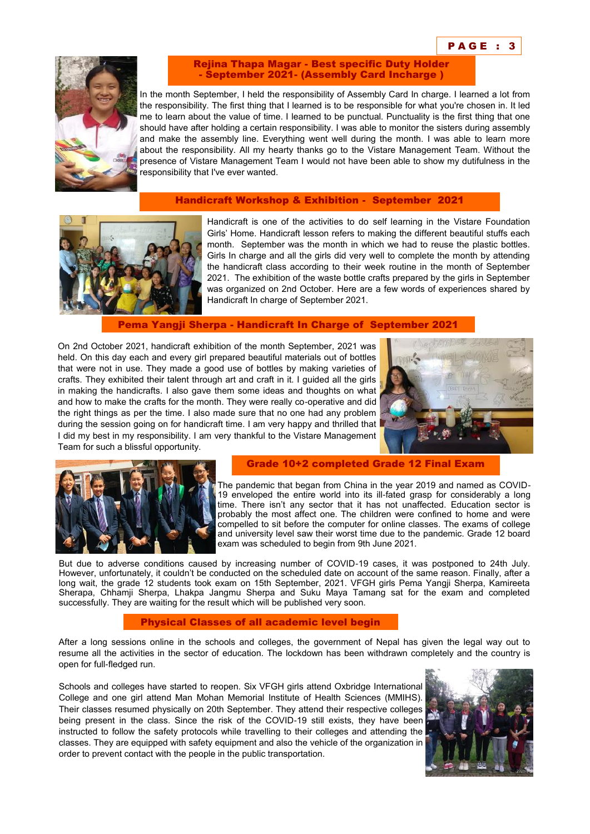

Rejina Thapa Magar - Best specific Duty Holder - September 2021- (Assembly Card Incharge )

In the month September, I held the responsibility of Assembly Card In charge. I learned a lot from the responsibility. The first thing that I learned is to be responsible for what you're chosen in. It led me to learn about the value of time. I learned to be punctual. Punctuality is the first thing that one should have after holding a certain responsibility. I was able to monitor the sisters during assembly and make the assembly line. Everything went well during the month. I was able to learn more about the responsibility. All my hearty thanks go to the Vistare Management Team. Without the presence of Vistare Management Team I would not have been able to show my dutifulness in the responsibility that I've ever wanted.

## Handicraft Workshop & Exhibition - September 2021



Handicraft is one of the activities to do self learning in the Vistare Foundation Girls' Home. Handicraft lesson refers to making the different beautiful stuffs each month. September was the month in which we had to reuse the plastic bottles. Girls In charge and all the girls did very well to complete the month by attending the handicraft class according to their week routine in the month of September 2021. The exhibition of the waste bottle crafts prepared by the girls in September was organized on 2nd October. Here are a few words of experiences shared by Handicraft In charge of September 2021.

Pema Yangji Sherpa - Handicraft In Charge of September 2021

On 2nd October 2021, handicraft exhibition of the month September, 2021 was held. On this day each and every girl prepared beautiful materials out of bottles that were not in use. They made a good use of bottles by making varieties of crafts. They exhibited their talent through art and craft in it. I guided all the girls in making the handicrafts. I also gave them some ideas and thoughts on what and how to make the crafts for the month. They were really co-operative and did the right things as per the time. I also made sure that no one had any problem during the session going on for handicraft time. I am very happy and thrilled that I did my best in my responsibility. I am very thankful to the Vistare Management Team for such a blissful opportunity.





#### Grade 10+2 completed Grade 12 Final Exam

The pandemic that began from China in the year 2019 and named as COVID-19 enveloped the entire world into its ill-fated grasp for considerably a long time. There isn't any sector that it has not unaffected. Education sector is probably the most affect one. The children were confined to home and were compelled to sit before the computer for online classes. The exams of college and university level saw their worst time due to the pandemic. Grade 12 board exam was scheduled to begin from 9th June 2021.

But due to adverse conditions caused by increasing number of COVID-19 cases, it was postponed to 24th July. However, unfortunately, it couldn't be conducted on the scheduled date on account of the same reason. Finally, after a long wait, the grade 12 students took exam on 15th September, 2021. VFGH girls Pema Yangji Sherpa, Kamireeta Sherapa, Chhamji Sherpa, Lhakpa Jangmu Sherpa and Suku Maya Tamang sat for the exam and completed successfully. They are waiting for the result which will be published very soon.

#### Physical Classes of all academic level begin

After a long sessions online in the schools and colleges, the government of Nepal has given the legal way out to resume all the activities in the sector of education. The lockdown has been withdrawn completely and the country is open for full-fledged run.

Schools and colleges have started to reopen. Six VFGH girls attend Oxbridge International College and one girl attend Man Mohan Memorial Institute of Health Sciences (MMIHS). Their classes resumed physically on 20th September. They attend their respective colleges being present in the class. Since the risk of the COVID-19 still exists, they have been instructed to follow the safety protocols while travelling to their colleges and attending the classes. They are equipped with safety equipment and also the vehicle of the organization in order to prevent contact with the people in the public transportation.

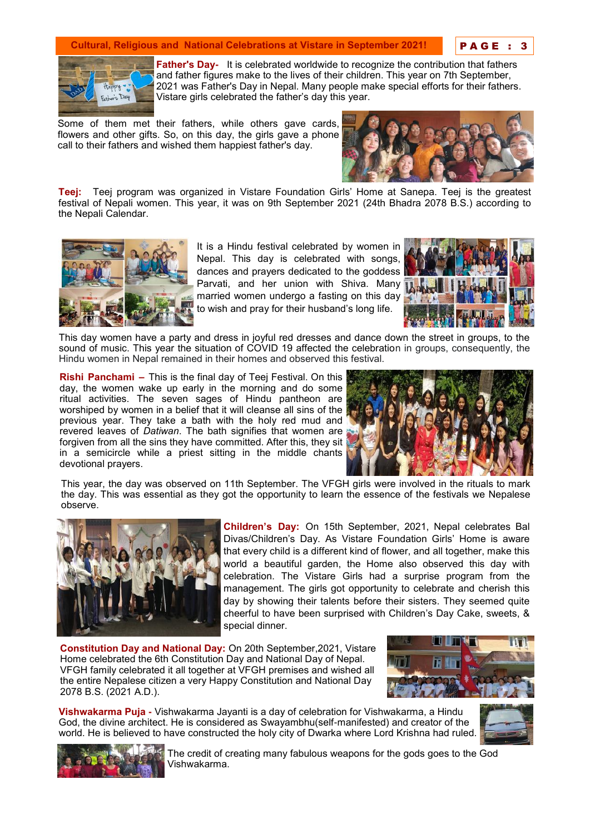## **Cultural, Religious and National Celebrations at Vistare in September 2021!**

P A G E : 3



**Father's Day-** It is celebrated worldwide to recognize the contribution that fathers and father figures make to the lives of their children. This year on 7th September, 2021 was Father's Day in Nepal. Many people make special efforts for their fathers. Vistare girls celebrated the father's day this year.

Some of them met their fathers, while others gave cards, flowers and other gifts. So, on this day, the girls gave a phone call to their fathers and wished them happiest father's day.



**Teej:** Teej program was organized in Vistare Foundation Girls' Home at Sanepa. Teej is the greatest festival of Nepali women. This year, it was on 9th September 2021 (24th Bhadra 2078 B.S.) according to the Nepali Calendar.



It is a Hindu festival celebrated by women in Nepal. This day is celebrated with songs, dances and prayers dedicated to the goddess Parvati, and her union with Shiva. Many married women undergo a fasting on this day to wish and pray for their husband's long life.



This day women have a party and dress in joyful red dresses and dance down the street in groups, to the sound of music. This year the situation of COVID 19 affected the celebration in groups, consequently, the Hindu women in Nepal remained in their homes and observed this festival.

**Rishi Panchami –** This is the final day of Teej Festival. On this day, the women wake up early in the morning and do some ritual activities. The seven sages of Hindu pantheon are worshiped by women in a belief that it will cleanse all sins of the previous year. They take a bath with the holy red mud and revered leaves of *Datiwan*. The bath signifies that women are forgiven from all the sins they have committed. After this, they sit in a semicircle while a priest sitting in the middle chants devotional prayers.



This year, the day was observed on 11th September. The VFGH girls were involved in the rituals to mark the day. This was essential as they got the opportunity to learn the essence of the festivals we Nepalese observe.



**Children's Day:** On 15th September, 2021, Nepal celebrates Bal Divas/Children's Day. As Vistare Foundation Girls' Home is aware that every child is a different kind of flower, and all together, make this world a beautiful garden, the Home also observed this day with celebration. The Vistare Girls had a surprise program from the management. The girls got opportunity to celebrate and cherish this day by showing their talents before their sisters. They seemed quite cheerful to have been surprised with Children's Day Cake, sweets, & special dinner.

**Constitution Day and National Day:** On 20th September,2021, Vistare Home celebrated the 6th Constitution Day and National Day of Nepal. VFGH family celebrated it all together at VFGH premises and wished all the entire Nepalese citizen a very Happy Constitution and National Day 2078 B.S. (2021 A.D.).



**Vishwakarma Puja -** Vishwakarma Jayanti is a day of celebration for Vishwakarma, a Hindu God, the divine architect. He is considered as Swayambhu(self-manifested) and creator of the world. He is believed to have constructed the holy city of Dwarka where Lord Krishna had ruled.





The credit of creating many fabulous weapons for the gods goes to the God Vishwakarma.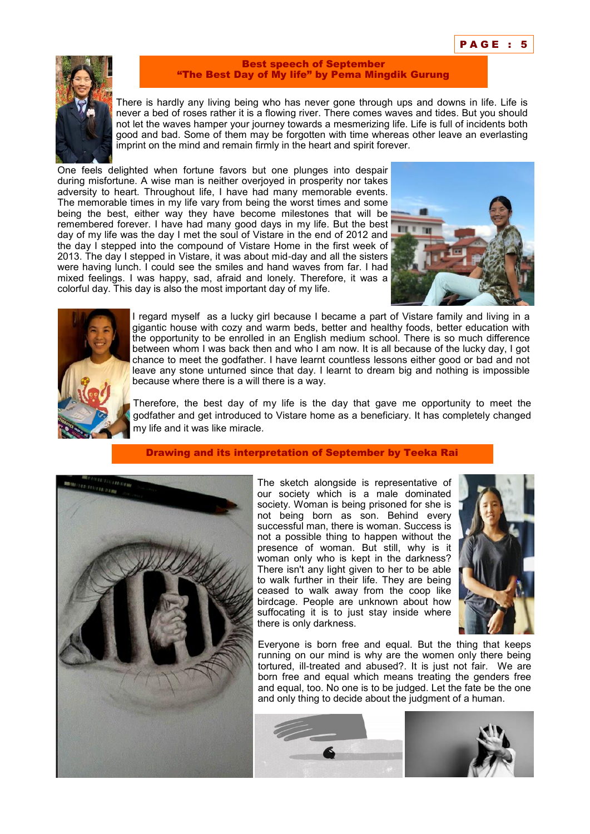

#### Best speech of September "The Best Day of My life" by Pema Mingdik Gurung

There is hardly any living being who has never gone through ups and downs in life. Life is never a bed of roses rather it is a flowing river. There comes waves and tides. But you should not let the waves hamper your journey towards a mesmerizing life. Life is full of incidents both good and bad. Some of them may be forgotten with time whereas other leave an everlasting imprint on the mind and remain firmly in the heart and spirit forever.

One feels delighted when fortune favors but one plunges into despair during misfortune. A wise man is neither overjoyed in prosperity nor takes adversity to heart. Throughout life, I have had many memorable events. The memorable times in my life vary from being the worst times and some being the best, either way they have become milestones that will be remembered forever. I have had many good days in my life. But the best day of my life was the day I met the soul of Vistare in the end of 2012 and the day I stepped into the compound of Vistare Home in the first week of 2013. The day I stepped in Vistare, it was about mid-day and all the sisters were having lunch. I could see the smiles and hand waves from far. I had mixed feelings. I was happy, sad, afraid and lonely. Therefore, it was a colorful day. This day is also the most important day of my life.





I regard myself as a lucky girl because I became a part of Vistare family and living in a gigantic house with cozy and warm beds, better and healthy foods, better education with the opportunity to be enrolled in an English medium school. There is so much difference between whom I was back then and who I am now. It is all because of the lucky day, I got chance to meet the godfather. I have learnt countless lessons either good or bad and not leave any stone unturned since that day. I learnt to dream big and nothing is impossible because where there is a will there is a way.

Therefore, the best day of my life is the day that gave me opportunity to meet the godfather and get introduced to Vistare home as a beneficiary. It has completely changed my life and it was like miracle.

### Drawing and its interpretation of September by Teeka Rai



The sketch alongside is representative of our society which is a male dominated society. Woman is being prisoned for she is not being born as son. Behind every successful man, there is woman. Success is not a possible thing to happen without the presence of woman. But still, why is it woman only who is kept in the darkness? There isn't any light given to her to be able to walk further in their life. They are being ceased to walk away from the coop like birdcage. People are unknown about how suffocating it is to just stay inside where there is only darkness.



Everyone is born free and equal. But the thing that keeps running on our mind is why are the women only there being tortured, ill-treated and abused?. It is just not fair. We are born free and equal which means treating the genders free and equal, too. No one is to be judged. Let the fate be the one and only thing to decide about the judgment of a human.